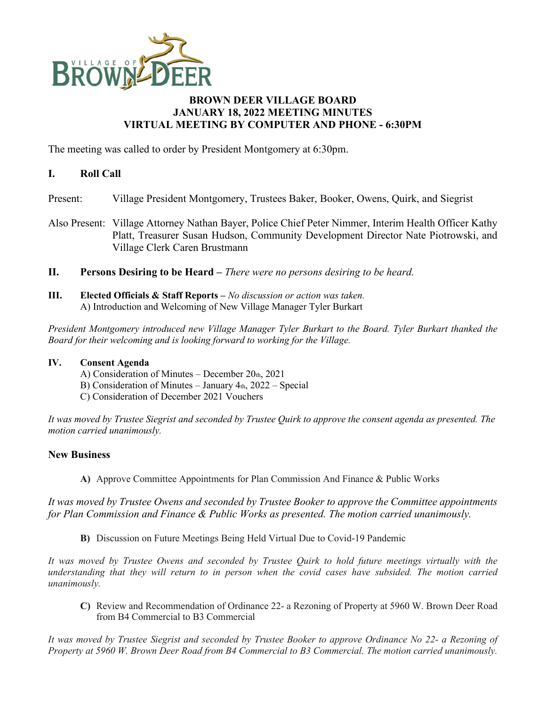

# **BROWN DEER VILLAGE BOARD JANUARY 18, 2022 MEETING MINUTES VIRTUAL MEETING BY COMPUTER AND PHONE - 6:30PM**

The meeting was called to order by President Montgomery at 6:30pm.

# **I. Roll Call**

- Present: Village President Montgomery, Trustees Baker, Booker, Owens, Quirk, and Siegrist
- Also Present: Village Attorney Nathan Bayer, Police Chief Peter Nimmer, Interim Health Officer Kathy Platt, Treasurer Susan Hudson, Community Development Director Nate Piotrowski, and Village Clerk Caren Brustmann
- **II. Persons Desiring to be Heard –** *There were no persons desiring to be heard.*
- **III. Elected Officials & Staff Reports –** *No discussion or action was taken.* A) Introduction and Welcoming of New Village Manager Tyler Burkart

*President Montgomery introduced new Village Manager Tyler Burkart to the Board. Tyler Burkart thanked the Board for their welcoming and is looking forward to working for the Village.*

#### **IV. Consent Agenda**

- A) Consideration of Minutes December  $20<sub>th</sub>$ , 2021
- B) Consideration of Minutes January  $4<sub>th</sub>$ , 2022 Special
- C) Consideration of December 2021 Vouchers

*It was moved by Trustee Siegrist and seconded by Trustee Quirk to approve the consent agenda as presented. The motion carried unanimously.*

# **New Business**

**A)** Approve Committee Appointments for Plan Commission And Finance & Public Works

*It was moved by Trustee Owens and seconded by Trustee Booker to approve the Committee appointments for Plan Commission and Finance & Public Works as presented. The motion carried unanimously.*

**B)** Discussion on Future Meetings Being Held Virtual Due to Covid-19 Pandemic

*It was moved by Trustee Owens and seconded by Trustee Quirk to hold future meetings virtually with the understanding that they will return to in person when the covid cases have subsided. The motion carried unanimously.*

**C)** Review and Recommendation of Ordinance 22- a Rezoning of Property at 5960 W. Brown Deer Road from B4 Commercial to B3 Commercial

*It was moved by Trustee Siegrist and seconded by Trustee Booker to approve Ordinance No 22- a Rezoning of Property at 5960 W. Brown Deer Road from B4 Commercial to B3 Commercial. The motion carried unanimously.*